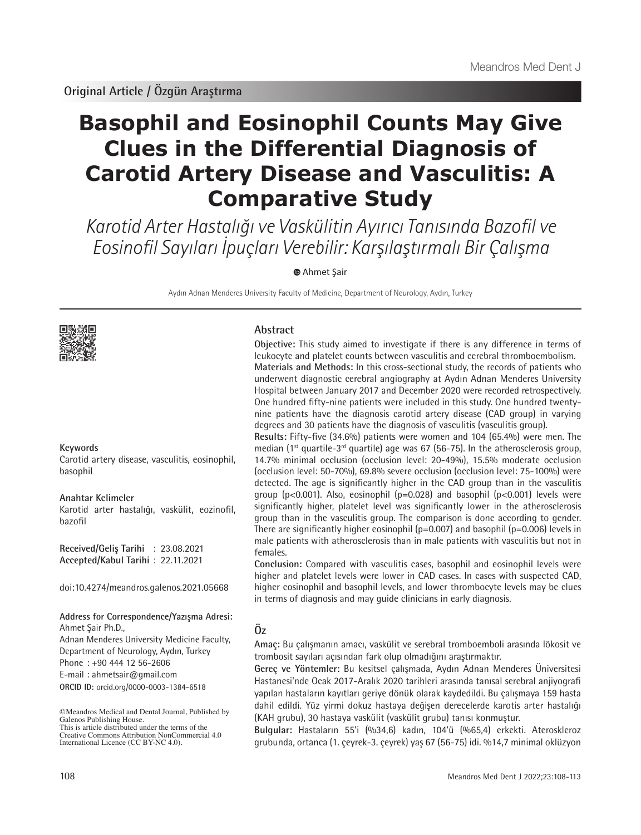# **Basophil and Eosinophil Counts May Give Clues in the Differential Diagnosis of Carotid Artery Disease and Vasculitis: A Comparative Study**

Karotid Arter Hastalığı ve Vaskülitin Ayırıcı Tanısında Bazofil ve Eosinofil Sayıları İpuçları Verebilir: Karşılaştırmalı Bir Çalışma

 [A](https://orcid.org/0000-0003-1384-6518)hmet Şair

Aydın Adnan Menderes University Faculty of Medicine, Department of Neurology, Aydın, Turkey



#### **Keywords**

Carotid artery disease, vasculitis, eosinophil, basophil

#### **Anahtar Kelimeler**

Karotid arter hastalığı, vaskülit, eozinofil, bazofil

**Received/Geliş Tarihi** : 23.08.2021 **Accepted/Kabul Tarihi** : 22.11.2021

doi:10.4274/meandros.galenos.2021.05668

# **Address for Correspondence/Yazışma Adresi:**

**ORCID ID:** orcid.org/0000-0003-1384-6518 Ahmet Şair Ph.D., Adnan Menderes University Medicine Faculty, Department of Neurology, Aydın, Turkey Phone : +90 444 12 56-2606 E-mail : ahmetsair@gmail.com

©Meandros Medical and Dental Journal, Published by Galenos Publishing House. This is article distributed under the terms of the

Creative Commons Attribution NonCommercial 4.0 International Licence (CC BY-NC 4.0).

# **Abstract**

**Objective:** This study aimed to investigate if there is any difference in terms of leukocyte and platelet counts between vasculitis and cerebral thromboembolism. **Materials and Methods:** In this cross-sectional study, the records of patients who underwent diagnostic cerebral angiography at Aydın Adnan Menderes University Hospital between January 2017 and December 2020 were recorded retrospectively. One hundred fifty-nine patients were included in this study. One hundred twentynine patients have the diagnosis carotid artery disease (CAD group) in varying degrees and 30 patients have the diagnosis of vasculitis (vasculitis group).

**Results:** Fifty-five (34.6%) patients were women and 104 (65.4%) were men. The median ( $1<sup>st</sup>$  quartile- $3<sup>rd</sup>$  quartile) age was 67 (56-75). In the atherosclerosis group, 14.7% minimal occlusion (occlusion level: 20-49%), 15.5% moderate occlusion (occlusion level: 50-70%), 69.8% severe occlusion (occlusion level: 75-100%) were detected. The age is significantly higher in the CAD group than in the vasculitis group ( $p$ <0.001). Also, eosinophil ( $p$ =0.028) and basophil ( $p$ <0.001) levels were significantly higher, platelet level was significantly lower in the atherosclerosis group than in the vasculitis group. The comparison is done according to gender. There are significantly higher eosinophil ( $p=0.007$ ) and basophil ( $p=0.006$ ) levels in male patients with atherosclerosis than in male patients with vasculitis but not in females.

**Conclusion:** Compared with vasculitis cases, basophil and eosinophil levels were higher and platelet levels were lower in CAD cases. In cases with suspected CAD, higher eosinophil and basophil levels, and lower thrombocyte levels may be clues in terms of diagnosis and may guide clinicians in early diagnosis.

# **Öz**

**Amaç:** Bu çalışmanın amacı, vaskülit ve serebral tromboemboli arasında lökosit ve trombosit sayıları açısından fark olup olmadığını araştırmaktır.

**Gereç ve Yöntemler:** Bu kesitsel çalışmada, Aydın Adnan Menderes Üniversitesi Hastanesi'nde Ocak 2017-Aralık 2020 tarihleri arasında tanısal serebral anjiyografi yapılan hastaların kayıtları geriye dönük olarak kaydedildi. Bu çalışmaya 159 hasta dahil edildi. Yüz yirmi dokuz hastaya değişen derecelerde karotis arter hastalığı (KAH grubu), 30 hastaya vaskülit (vaskülit grubu) tanısı konmuştur.

**Bulgular:** Hastaların 55'i (%34,6) kadın, 104'ü (%65,4) erkekti. Ateroskleroz grubunda, ortanca (1. çeyrek-3. çeyrek) yaş 67 (56-75) idi. %14,7 minimal oklüzyon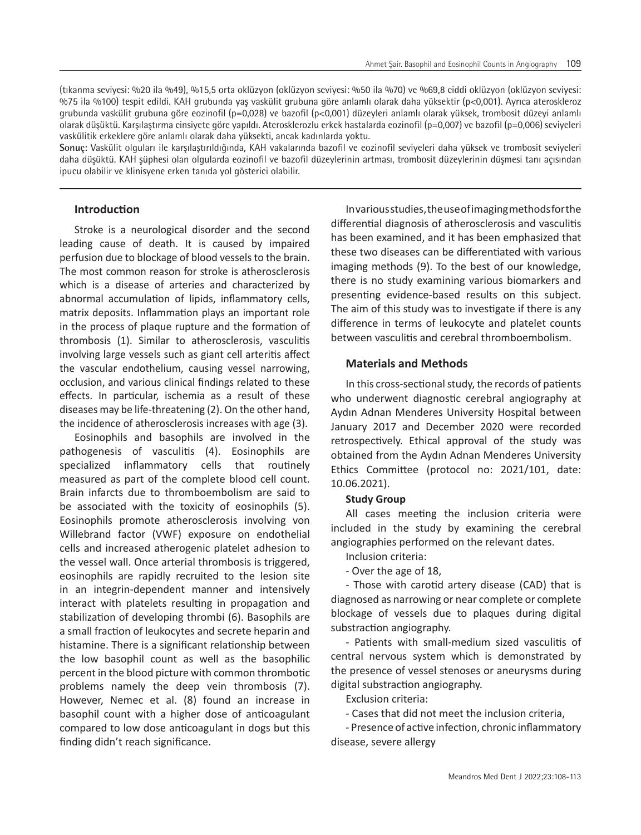(tıkanma seviyesi: %20 ila %49), %15,5 orta oklüzyon (oklüzyon seviyesi: %50 ila %70) ve %69,8 ciddi oklüzyon (oklüzyon seviyesi: %75 ila %100) tespit edildi. KAH grubunda yaş vaskülit grubuna göre anlamlı olarak daha yüksektir (p<0,001). Ayrıca ateroskleroz grubunda vaskülit grubuna göre eozinofil (p=0,028) ve bazofil (p<0,001) düzeyleri anlamlı olarak yüksek, trombosit düzeyi anlamlı olarak düşüktü. Karşılaştırma cinsiyete göre yapıldı. Aterosklerozlu erkek hastalarda eozinofil (p=0,007) ve bazofil (p=0,006) seviyeleri vaskülitik erkeklere göre anlamlı olarak daha yüksekti, ancak kadınlarda yoktu.

**Sonuç:** Vaskülit olguları ile karşılaştırıldığında, KAH vakalarında bazofil ve eozinofil seviyeleri daha yüksek ve trombosit seviyeleri daha düşüktü. KAH şüphesi olan olgularda eozinofil ve bazofil düzeylerinin artması, trombosit düzeylerinin düşmesi tanı açısından ipucu olabilir ve klinisyene erken tanıda yol gösterici olabilir.

# **Introduction**

Stroke is a neurological disorder and the second leading cause of death. It is caused by impaired perfusion due to blockage of blood vessels to the brain. The most common reason for stroke is atherosclerosis which is a disease of arteries and characterized by abnormal accumulation of lipids, inflammatory cells, matrix deposits. Inflammation plays an important role in the process of plaque rupture and the formation of thrombosis (1). Similar to atherosclerosis, vasculitis involving large vessels such as giant cell arteritis affect the vascular endothelium, causing vessel narrowing, occlusion, and various clinical findings related to these effects. In particular, ischemia as a result of these diseases may be life-threatening (2). On the other hand, the incidence of atherosclerosis increases with age (3).

Eosinophils and basophils are involved in the pathogenesis of vasculitis (4). Eosinophils are specialized inflammatory cells that routinely measured as part of the complete blood cell count. Brain infarcts due to thromboembolism are said to be associated with the toxicity of eosinophils (5). Eosinophils promote atherosclerosis involving von Willebrand factor (VWF) exposure on endothelial cells and increased atherogenic platelet adhesion to the vessel wall. Once arterial thrombosis is triggered, eosinophils are rapidly recruited to the lesion site in an integrin-dependent manner and intensively interact with platelets resulting in propagation and stabilization of developing thrombi (6). Basophils are a small fraction of leukocytes and secrete heparin and histamine. There is a significant relationship between the low basophil count as well as the basophilic percent in the blood picture with common thrombotic problems namely the deep vein thrombosis (7). However, Nemec et al. (8) found an increase in basophil count with a higher dose of anticoagulant compared to low dose anticoagulant in dogs but this finding didn't reach significance.

In various studies, the use of imaging methods for the differential diagnosis of atherosclerosis and vasculitis has been examined, and it has been emphasized that these two diseases can be differentiated with various imaging methods (9). To the best of our knowledge, there is no study examining various biomarkers and presenting evidence-based results on this subject. The aim of this study was to investigate if there is any difference in terms of leukocyte and platelet counts between vasculitis and cerebral thromboembolism.

# **Materials and Methods**

In this cross-sectional study, the records of patients who underwent diagnostic cerebral angiography at Aydın Adnan Menderes University Hospital between January 2017 and December 2020 were recorded retrospectively. Ethical approval of the study was obtained from the Aydın Adnan Menderes University Ethics Committee (protocol no: 2021/101, date: 10.06.2021).

# **Study Group**

All cases meeting the inclusion criteria were included in the study by examining the cerebral angiographies performed on the relevant dates.

- Inclusion criteria:
- Over the age of 18,

- Those with carotid artery disease (CAD) that is diagnosed as narrowing or near complete or complete blockage of vessels due to plaques during digital substraction angiography.

- Patients with small-medium sized vasculitis of central nervous system which is demonstrated by the presence of vessel stenoses or aneurysms during digital substraction angiography.

Exclusion criteria:

- Cases that did not meet the inclusion criteria,

- Presence of active infection, chronic inflammatory disease, severe allergy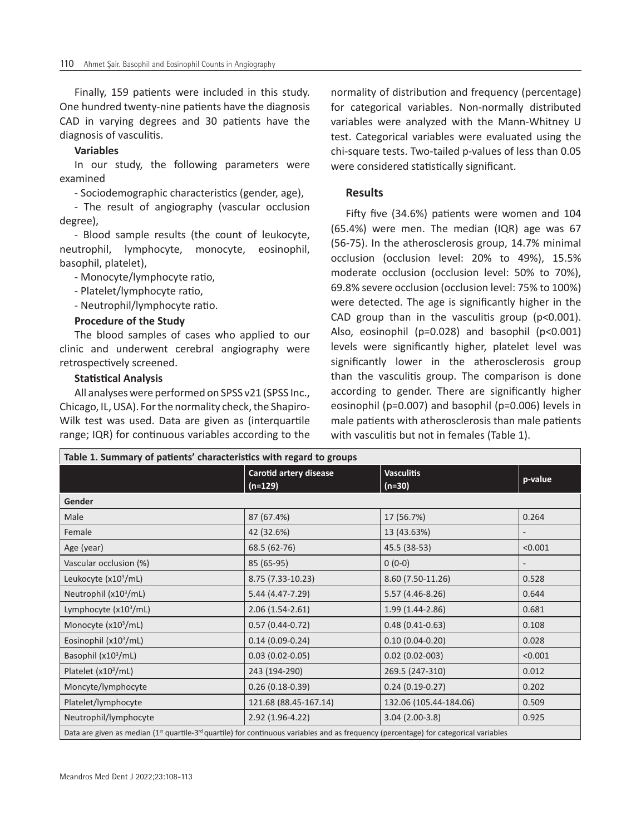Finally, 159 patients were included in this study. One hundred twenty-nine patients have the diagnosis CAD in varying degrees and 30 patients have the diagnosis of vasculitis.

#### **Variables**

In our study, the following parameters were examined

- Sociodemographic characteristics (gender, age),

- The result of angiography (vascular occlusion degree),

- Blood sample results (the count of leukocyte, neutrophil, lymphocyte, monocyte, eosinophil, basophil, platelet),

- Monocyte/lymphocyte ratio,

- Platelet/lymphocyte ratio,

- Neutrophil/lymphocyte ratio.

#### **Procedure of the Study**

The blood samples of cases who applied to our clinic and underwent cerebral angiography were retrospectively screened.

# **Statistical Analysis**

All analyses were performed on SPSS v21 (SPSS Inc., Chicago, IL, USA). For the normality check, the Shapiro-Wilk test was used. Data are given as (interquartile range; IQR) for continuous variables according to the normality of distribution and frequency (percentage) for categorical variables. Non-normally distributed variables were analyzed with the Mann-Whitney U test. Categorical variables were evaluated using the chi-square tests. Two-tailed p-values of less than 0.05 were considered statistically significant.

# **Results**

Fifty five (34.6%) patients were women and 104 (65.4%) were men. The median (IQR) age was 67 (56-75). In the atherosclerosis group, 14.7% minimal occlusion (occlusion level: 20% to 49%), 15.5% moderate occlusion (occlusion level: 50% to 70%), 69.8% severe occlusion (occlusion level: 75% to 100%) were detected. The age is significantly higher in the CAD group than in the vasculitis group (p<0.001). Also, eosinophil (p=0.028) and basophil (p<0.001) levels were significantly higher, platelet level was significantly lower in the atherosclerosis group than the vasculitis group. The comparison is done according to gender. There are significantly higher eosinophil (p=0.007) and basophil (p=0.006) levels in male patients with atherosclerosis than male patients with vasculitis but not in females (Table 1).

| Table 1. Summary of patients' characteristics with regard to groups                                                                                           |                                     |                               |         |
|---------------------------------------------------------------------------------------------------------------------------------------------------------------|-------------------------------------|-------------------------------|---------|
|                                                                                                                                                               | Carotid artery disease<br>$(n=129)$ | <b>Vasculitis</b><br>$(n=30)$ | p-value |
| Gender                                                                                                                                                        |                                     |                               |         |
| Male                                                                                                                                                          | 87 (67.4%)                          | 17 (56.7%)                    | 0.264   |
| Female                                                                                                                                                        | 42 (32.6%)                          | 13 (43.63%)                   |         |
| Age (year)                                                                                                                                                    | 68.5 (62-76)                        | 45.5 (38-53)                  | < 0.001 |
| Vascular occlusion (%)                                                                                                                                        | 85 (65-95)                          | $0(0-0)$                      |         |
| Leukocyte $(x10^3/mL)$                                                                                                                                        | 8.75 (7.33-10.23)                   | 8.60 (7.50-11.26)             | 0.528   |
| Neutrophil $(x10^3/mL)$                                                                                                                                       | 5.44 (4.47-7.29)                    | $5.57(4.46-8.26)$             | 0.644   |
| Lymphocyte $(x10^3/mL)$                                                                                                                                       | $2.06(1.54-2.61)$                   | $1.99(1.44 - 2.86)$           | 0.681   |
| Monocyte $(x103/mL)$                                                                                                                                          | $0.57(0.44-0.72)$                   | $0.48(0.41 - 0.63)$           | 0.108   |
| Eosinophil (x10 <sup>3</sup> /mL)                                                                                                                             | $0.14(0.09 - 0.24)$                 | $0.10(0.04 - 0.20)$           | 0.028   |
| Basophil $(x10^3/mL)$                                                                                                                                         | $0.03(0.02 - 0.05)$                 | $0.02(0.02-003)$              | < 0.001 |
| Platelet $(x10^3/mL)$                                                                                                                                         | 243 (194-290)                       | 269.5 (247-310)               | 0.012   |
| Moncyte/lymphocyte                                                                                                                                            | $0.26(0.18-0.39)$                   | $0.24(0.19-0.27)$             | 0.202   |
| Platelet/lymphocyte                                                                                                                                           | 121.68 (88.45-167.14)               | 132.06 (105.44-184.06)        | 0.509   |
| Neutrophil/lymphocyte                                                                                                                                         | 2.92 (1.96-4.22)                    | $3.04(2.00-3.8)$              | 0.925   |
| Data are given as median (1 <sup>st</sup> quartile-3 <sup>rd</sup> quartile) for continuous variables and as frequency (percentage) for categorical variables |                                     |                               |         |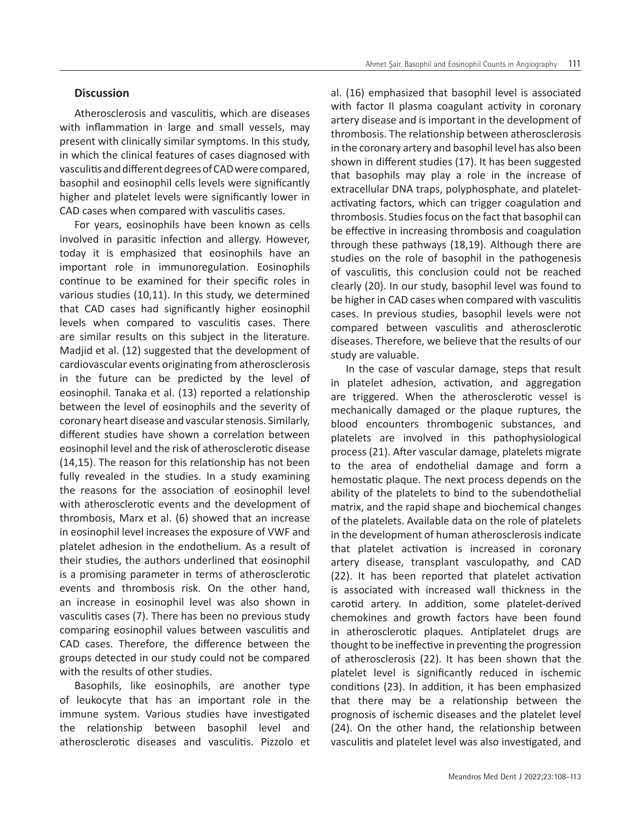#### **Discussion**

Atherosclerosis and vasculitis, which are diseases with inflammation in large and small vessels, may present with clinically similar symptoms. In this study, in which the clinical features of cases diagnosed with vasculitis and different degrees of CAD were compared, basophil and eosinophil cells levels were significantly higher and platelet levels were significantly lower in CAD cases when compared with vasculitis cases.

For years, eosinophils have been known as cells involved in parasitic infection and allergy. However, today it is emphasized that eosinophils have an important role in immunoregulation. Eosinophils continue to be examined for their specific roles in various studies (10,11). In this study, we determined that CAD cases had significantly higher eosinophil levels when compared to vasculitis cases. There are similar results on this subject in the literature. Madjid et al. (12) suggested that the development of cardiovascular events originating from atherosclerosis in the future can be predicted by the level of eosinophil. Tanaka et al. (13) reported a relationship between the level of eosinophils and the severity of coronary heart disease and vascular stenosis. Similarly, different studies have shown a correlation between eosinophil level and the risk of atherosclerotic disease (14,15). The reason for this relationship has not been fully revealed in the studies. In a study examining the reasons for the association of eosinophil level with atherosclerotic events and the development of thrombosis, Marx et al. (6) showed that an increase in eosinophil level increases the exposure of VWF and platelet adhesion in the endothelium. As a result of their studies, the authors underlined that eosinophil is a promising parameter in terms of atherosclerotic events and thrombosis risk. On the other hand, an increase in eosinophil level was also shown in vasculitis cases (7). There has been no previous study comparing eosinophil values between vasculitis and CAD cases. Therefore, the difference between the groups detected in our study could not be compared with the results of other studies.

Basophils, like eosinophils, are another type of leukocyte that has an important role in the immune system. Various studies have investigated the relationship between basophil level and atherosclerotic diseases and vasculitis. Pizzolo et al. (16) emphasized that basophil level is associated with factor II plasma coagulant activity in coronary artery disease and is important in the development of thrombosis. The relationship between atherosclerosis in the coronary artery and basophil level has also been shown in different studies (17). It has been suggested that basophils may play a role in the increase of extracellular DNA traps, polyphosphate, and plateletactivating factors, which can trigger coagulation and thrombosis. Studies focus on the fact that basophil can be effective in increasing thrombosis and coagulation through these pathways (18,19). Although there are studies on the role of basophil in the pathogenesis of vasculitis, this conclusion could not be reached clearly (20). In our study, basophil level was found to be higher in CAD cases when compared with vasculitis cases. In previous studies, basophil levels were not compared between vasculitis and atherosclerotic diseases. Therefore, we believe that the results of our study are valuable.

In the case of vascular damage, steps that result in platelet adhesion, activation, and aggregation are triggered. When the atherosclerotic vessel is mechanically damaged or the plaque ruptures, the blood encounters thrombogenic substances, and platelets are involved in this pathophysiological process (21). After vascular damage, platelets migrate to the area of endothelial damage and form a hemostatic plaque. The next process depends on the ability of the platelets to bind to the subendothelial matrix, and the rapid shape and biochemical changes of the platelets. Available data on the role of platelets in the development of human atherosclerosis indicate that platelet activation is increased in coronary artery disease, transplant vasculopathy, and CAD (22). It has been reported that platelet activation is associated with increased wall thickness in the carotid artery. In addition, some platelet-derived chemokines and growth factors have been found in atherosclerotic plaques. Antiplatelet drugs are thought to be ineffective in preventing the progression of atherosclerosis (22). It has been shown that the platelet level is significantly reduced in ischemic conditions (23). In addition, it has been emphasized that there may be a relationship between the prognosis of ischemic diseases and the platelet level (24). On the other hand, the relationship between vasculitis and platelet level was also investigated, and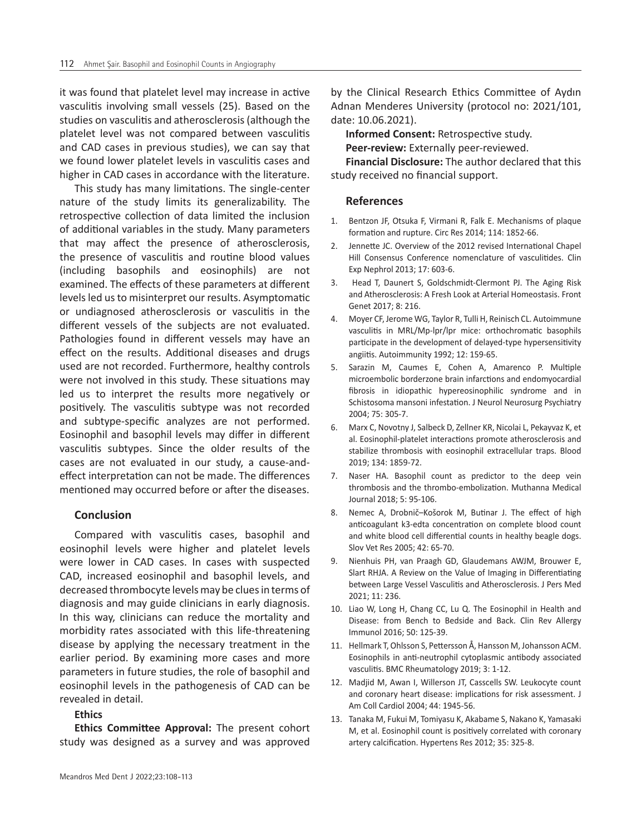it was found that platelet level may increase in active vasculitis involving small vessels (25). Based on the studies on vasculitis and atherosclerosis (although the platelet level was not compared between vasculitis and CAD cases in previous studies), we can say that we found lower platelet levels in vasculitis cases and higher in CAD cases in accordance with the literature.

This study has many limitations. The single-center nature of the study limits its generalizability. The retrospective collection of data limited the inclusion of additional variables in the study. Many parameters that may affect the presence of atherosclerosis, the presence of vasculitis and routine blood values (including basophils and eosinophils) are not examined. The effects of these parameters at different levels led us to misinterpret our results. Asymptomatic or undiagnosed atherosclerosis or vasculitis in the different vessels of the subjects are not evaluated. Pathologies found in different vessels may have an effect on the results. Additional diseases and drugs used are not recorded. Furthermore, healthy controls were not involved in this study. These situations may led us to interpret the results more negatively or positively. The vasculitis subtype was not recorded and subtype-specific analyzes are not performed. Eosinophil and basophil levels may differ in different vasculitis subtypes. Since the older results of the cases are not evaluated in our study, a cause-andeffect interpretation can not be made. The differences mentioned may occurred before or after the diseases.

#### **Conclusion**

Compared with vasculitis cases, basophil and eosinophil levels were higher and platelet levels were lower in CAD cases. In cases with suspected CAD, increased eosinophil and basophil levels, and decreased thrombocyte levels may be clues in terms of diagnosis and may guide clinicians in early diagnosis. In this way, clinicians can reduce the mortality and morbidity rates associated with this life-threatening disease by applying the necessary treatment in the earlier period. By examining more cases and more parameters in future studies, the role of basophil and eosinophil levels in the pathogenesis of CAD can be revealed in detail.

# **Ethics**

**Ethics Committee Approval:** The present cohort study was designed as a survey and was approved

by the Clinical Research Ethics Committee of Aydın Adnan Menderes University (protocol no: 2021/101, date: 10.06.2021).

**Informed Consent:** Retrospective study. **Peer-review:** Externally peer-reviewed.

**Financial Disclosure:** The author declared that this study received no financial support.

## **References**

- 1. Bentzon JF, Otsuka F, Virmani R, Falk E. Mechanisms of plaque formation and rupture. Circ Res 2014; 114: 1852-66.
- 2. Jennette JC. Overview of the 2012 revised International Chapel Hill Consensus Conference nomenclature of vasculitides. Clin Exp Nephrol 2013; 17: 603-6.
- 3. Head T, Daunert S, Goldschmidt-Clermont PJ. The Aging Risk and Atherosclerosis: A Fresh Look at Arterial Homeostasis. Front Genet 2017; 8: 216.
- 4. Moyer CF, Jerome WG, Taylor R, Tulli H, Reinisch CL. Autoimmune vasculitis in MRL/Mp-lpr/lpr mice: orthochromatic basophils participate in the development of delayed-type hypersensitivity angiitis. Autoimmunity 1992; 12: 159-65.
- 5. Sarazin M, Caumes E, Cohen A, Amarenco P. Multiple microembolic borderzone brain infarctions and endomyocardial fibrosis in idiopathic hypereosinophilic syndrome and in Schistosoma mansoni infestation. J Neurol Neurosurg Psychiatry 2004; 75: 305-7.
- 6. Marx C, Novotny J, Salbeck D, Zellner KR, Nicolai L, Pekayvaz K, et al. Eosinophil-platelet interactions promote atherosclerosis and stabilize thrombosis with eosinophil extracellular traps. Blood 2019; 134: 1859-72.
- 7. Naser HA. Basophil count as predictor to the deep vein thrombosis and the thrombo-embolization. Muthanna Medical Journal 2018; 5: 95-106.
- 8. Nemec A, Drobnič–Košorok M, Butinar J. The effect of high anticoagulant k3-edta concentration on complete blood count and white blood cell differential counts in healthy beagle dogs. Slov Vet Res 2005; 42: 65-70.
- 9. Nienhuis PH, van Praagh GD, Glaudemans AWJM, Brouwer E, Slart RHJA. A Review on the Value of Imaging in Differentiating between Large Vessel Vasculitis and Atherosclerosis. J Pers Med 2021; 11: 236.
- 10. Liao W, Long H, Chang CC, Lu Q. The Eosinophil in Health and Disease: from Bench to Bedside and Back. Clin Rev Allergy Immunol 2016; 50: 125-39.
- 11. Hellmark T, Ohlsson S, Pettersson Å, Hansson M, Johansson ACM. Eosinophils in anti-neutrophil cytoplasmic antibody associated vasculitis. BMC Rheumatology 2019; 3: 1-12.
- 12. Madjid M, Awan I, Willerson JT, Casscells SW. Leukocyte count and coronary heart disease: implications for risk assessment. J Am Coll Cardiol 2004; 44: 1945-56.
- 13. Tanaka M, Fukui M, Tomiyasu K, Akabame S, Nakano K, Yamasaki M, et al. Eosinophil count is positively correlated with coronary artery calcification. Hypertens Res 2012; 35: 325-8.